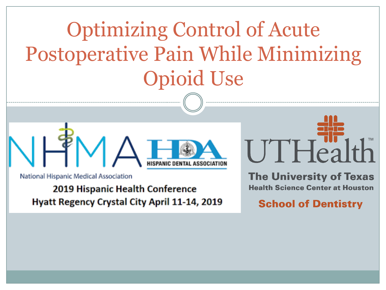Optimizing Control of Acute Postoperative Pain While Minimizing Opioid Use



National Hispanic Medical Association

2019 Hispanic Health Conference **Hyatt Regency Crystal City April 11-14, 2019**   $UTHealth$ 

**The University of Texas Health Science Center at Houston** 

**School of Dentistry**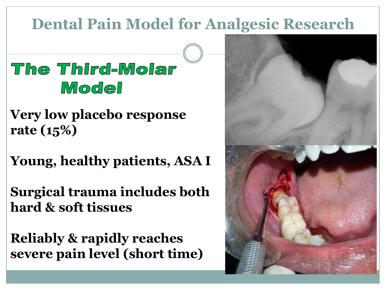### **Dental Pain Model for Analgesic Research**

### The Third-Molar Model

**Very low placebo response rate (15%)**

**Young, healthy patients, ASA I**

**Surgical trauma includes both hard & soft tissues**

**Reliably & rapidly reaches severe pain level (short time)**

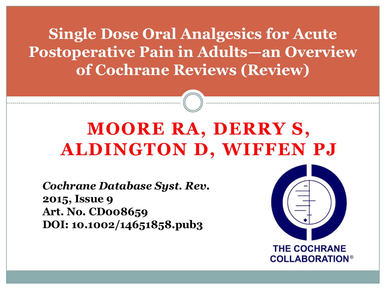**Single Dose Oral Analgesics for Acute Postoperative Pain in Adults—an Overview of Cochrane Reviews (Review)**

## **MOORE RA, DERRY S, ALDINGTON D, WIFFEN PJ**

*Cochrane Database Syst. Rev.* **2015, Issue 9 Art. No. CD008659 DOI: 10.1002/14651858.pub3**



**COLLABORATION®**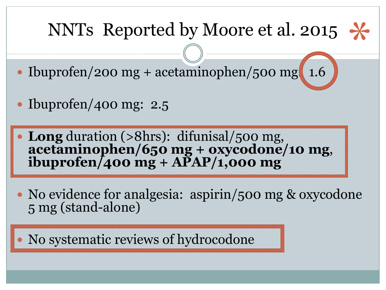# NNTs Reported by Moore et al. 2015

- $\cdot$  Ibuprofen/200 mg + acetaminophen/500 mg 1.6
- Ibuprofen/400 mg:  $2.5$
- **Long** duration (>8hrs): difunisal/500 mg, **acetaminophen/650 mg + oxycodone/10 mg**, **ibuprofen/400 mg + APAP/1,000 mg**
- No evidence for analgesia: aspirin/500 mg & oxycodone 5 mg (stand-alone)
- No systematic reviews of hydrocodone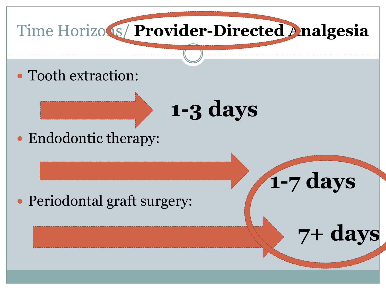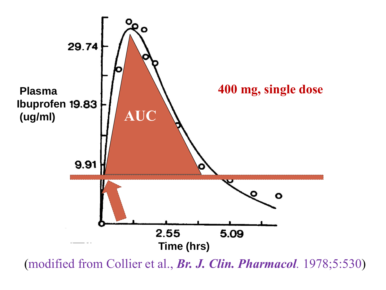

(modified from Collier et al., *Br. J. Clin. Pharmacol.* 1978;5:530)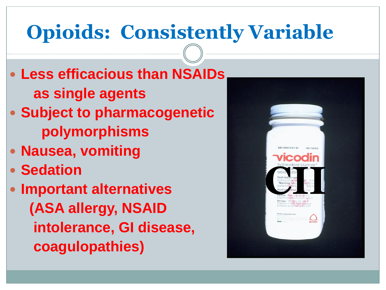# **Opioids: Consistently Variable**

- **Less efficacious than NSAIDs as single agents**
- **Subject to pharmacogenetic polymorphisms**
- **Nausea, vomiting**
- **Sedation**
- **Important alternatives (ASA allergy, NSAID intolerance, GI disease, coagulopathies)**

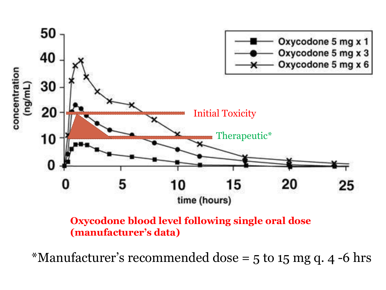

### **Oxycodone blood level following single oral dose (manufacturer's data)**

\*Manufacturer's recommended dose =  $5$  to 1 $5$  mg q. 4 -6 hrs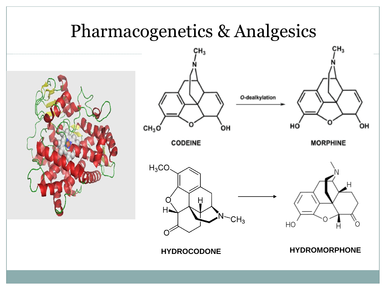### Pharmacogenetics & Analgesics





### **HYDROCODONE HYDROMORPHONE**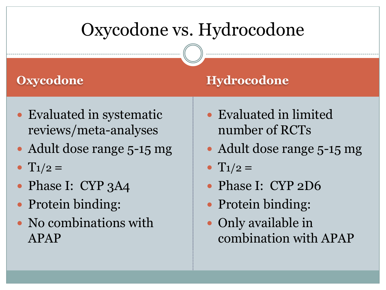## Oxycodone vs. Hydrocodone

- Evaluated in systematic reviews/meta-analyses
- Adult dose range 5-15 mg
- $T_1/2 =$
- Phase I: CYP 3A4
- Protein binding:
- No combinations with APAP

### **Oxycodone Hydrocodone**

- Evaluated in limited number of RCTs
- Adult dose range 5-15 mg
- $\bullet$  T<sub>1</sub>/<sub>2</sub> =
- Phase I: CYP 2D6
- Protein binding:
- Only available in combination with APAP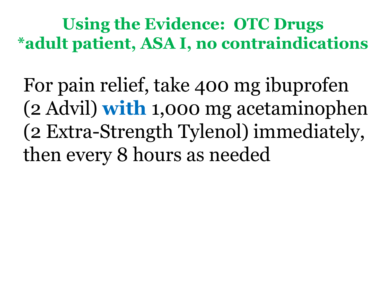**Using the Evidence: OTC Drugs \*adult patient, ASA I, no contraindications**

For pain relief, take 400 mg ibuprofen (2 Advil) **with** 1,000 mg acetaminophen (2 Extra-Strength Tylenol) immediately, then every 8 hours as needed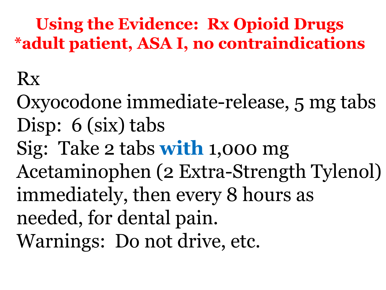**Using the Evidence: Rx Opioid Drugs \*adult patient, ASA I, no contraindications**

# Rx

Oxyocodone immediate-release, 5 mg tabs Disp: 6 (six) tabs Sig: Take 2 tabs **with** 1,000 mg Acetaminophen (2 Extra-Strength Tylenol) immediately, then every 8 hours as needed, for dental pain. Warnings: Do not drive, etc.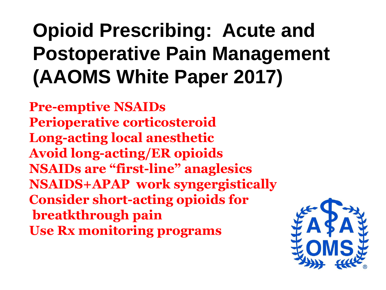# **Opioid Prescribing: Acute and Postoperative Pain Management (AAOMS White Paper 2017)**

**Pre-emptive NSAIDs Perioperative corticosteroid Long-acting local anesthetic Avoid long-acting/ER opioids NSAIDs are "first-line" anaglesics NSAIDS+APAP work syngergistically Consider short-acting opioids for breatkthrough pain Use Rx monitoring programs**

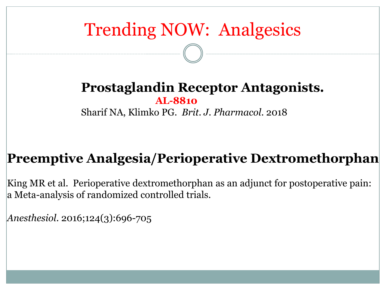# Trending NOW: Analgesics

### **Prostaglandin Receptor Antagonists. AL-8810** Sharif NA, Klimko PG. *Brit. J. Pharmacol*. 2018

### **Preemptive Analgesia/Perioperative Dextromethorphan**

King MR et al. Perioperative dextromethorphan as an adjunct for postoperative pain: a Meta-analysis of randomized controlled trials.

*Anesthesiol.* 2016;124(3):696-705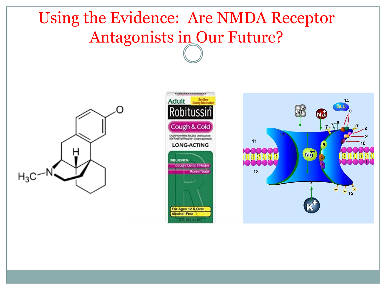### Using the Evidence: Are NMDA Receptor Antagonists in Our Future?